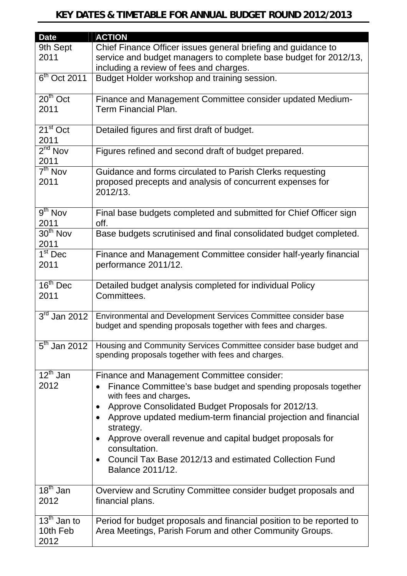| <b>Date</b>                        | <b>ACTION</b>                                                                                                                   |
|------------------------------------|---------------------------------------------------------------------------------------------------------------------------------|
| 9th Sept                           | Chief Finance Officer issues general briefing and guidance to                                                                   |
| 2011                               | service and budget managers to complete base budget for 2012/13,                                                                |
|                                    | including a review of fees and charges.                                                                                         |
| $6th$ Oct 2011                     | Budget Holder workshop and training session.                                                                                    |
| $20th$ Oct                         | Finance and Management Committee consider updated Medium-                                                                       |
| 2011                               | Term Financial Plan.                                                                                                            |
| $\overline{21^{st}}$ Oct<br>2011   | Detailed figures and first draft of budget.                                                                                     |
| $2nd$ Nov                          | Figures refined and second draft of budget prepared.                                                                            |
| 2011                               |                                                                                                                                 |
| $7th$ Nov                          | Guidance and forms circulated to Parish Clerks requesting                                                                       |
| 2011                               | proposed precepts and analysis of concurrent expenses for<br>2012/13.                                                           |
| $9th$ Nov                          | Final base budgets completed and submitted for Chief Officer sign                                                               |
| 2011                               | off.                                                                                                                            |
| 30 <sup>th</sup> Nov<br>2011       | Base budgets scrutinised and final consolidated budget completed.                                                               |
| $1st$ Dec                          | Finance and Management Committee consider half-yearly financial                                                                 |
| 2011                               | performance 2011/12.                                                                                                            |
| $16^{\text{th}}$ Dec               | Detailed budget analysis completed for individual Policy                                                                        |
| 2011                               | Committees.                                                                                                                     |
| $3rd$ Jan 2012                     | Environmental and Development Services Committee consider base<br>budget and spending proposals together with fees and charges. |
|                                    |                                                                                                                                 |
| $5th$ Jan 2012                     | Housing and Community Services Committee consider base budget and                                                               |
|                                    | spending proposals together with fees and charges.                                                                              |
| $12^{th}$ Jan                      | Finance and Management Committee consider:                                                                                      |
| 2012                               | Finance Committee's base budget and spending proposals together<br>with fees and charges.                                       |
|                                    | Approve Consolidated Budget Proposals for 2012/13.<br>$\bullet$                                                                 |
|                                    | Approve updated medium-term financial projection and financial<br>strategy.                                                     |
|                                    | Approve overall revenue and capital budget proposals for<br>consultation.                                                       |
|                                    | Council Tax Base 2012/13 and estimated Collection Fund                                                                          |
|                                    | Balance 2011/12.                                                                                                                |
| $18th$ Jan                         | Overview and Scrutiny Committee consider budget proposals and                                                                   |
| 2012                               | financial plans.                                                                                                                |
| $\overline{13}^{\text{th}}$ Jan to | Period for budget proposals and financial position to be reported to                                                            |
| 10th Feb                           | Area Meetings, Parish Forum and other Community Groups.                                                                         |
| 2012                               |                                                                                                                                 |